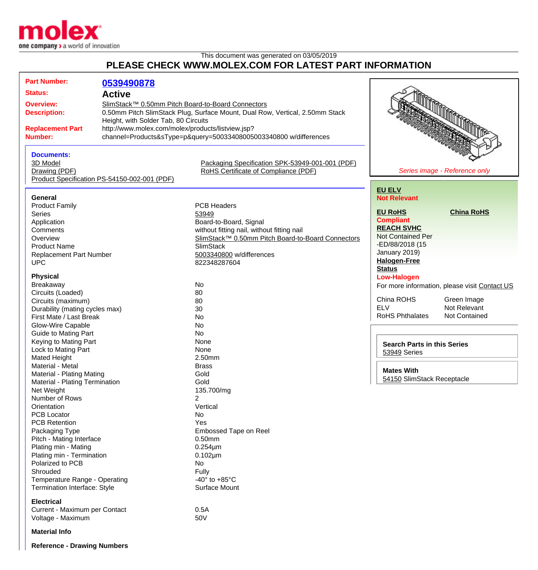

This document was generated on 03/05/2019 **PLEASE CHECK WWW.MOLEX.COM FOR LATEST PART INFORMATION**

| <b>Part Number:</b>                                                                                                                                                                                                  | 0539490878                                   |                                                                                                                                                          |                                                                                                     |                                                     |
|----------------------------------------------------------------------------------------------------------------------------------------------------------------------------------------------------------------------|----------------------------------------------|----------------------------------------------------------------------------------------------------------------------------------------------------------|-----------------------------------------------------------------------------------------------------|-----------------------------------------------------|
| <b>Status:</b>                                                                                                                                                                                                       | <b>Active</b>                                |                                                                                                                                                          |                                                                                                     |                                                     |
| SlimStack™ 0.50mm Pitch Board-to-Board Connectors<br><b>Overview:</b><br><b>Description:</b><br>Height, with Solder Tab, 80 Circuits<br>http://www.molex.com/molex/products/listview.jsp?<br><b>Replacement Part</b> |                                              | 0.50mm Pitch SlimStack Plug, Surface Mount, Dual Row, Vertical, 2.50mm Stack                                                                             |                                                                                                     |                                                     |
| <b>Number:</b>                                                                                                                                                                                                       |                                              | channel=Products&sType=p&query=50033408005003340800 w/differences                                                                                        |                                                                                                     |                                                     |
| <b>Documents:</b><br>3D Model<br>Drawing (PDF)                                                                                                                                                                       | Product Specification PS-54150-002-001 (PDF) | Packaging Specification SPK-53949-001-001 (PDF)<br>RoHS Certificate of Compliance (PDF)                                                                  | Series image - Reference only                                                                       |                                                     |
| General                                                                                                                                                                                                              |                                              |                                                                                                                                                          | <b>EU ELV</b><br><b>Not Relevant</b>                                                                |                                                     |
| <b>Product Family</b><br><b>Series</b><br>Application<br>Comments<br>Overview                                                                                                                                        |                                              | <b>PCB Headers</b><br>53949<br>Board-to-Board, Signal<br>without fitting nail, without fitting nail<br>SlimStack™ 0.50mm Pitch Board-to-Board Connectors | <b>EU RoHS</b><br><b>Compliant</b><br><b>REACH SVHC</b><br><b>Not Contained Per</b>                 | <b>China RoHS</b>                                   |
| <b>Product Name</b><br><b>Replacement Part Number</b><br><b>UPC</b><br><b>Physical</b>                                                                                                                               |                                              | <b>SlimStack</b><br>5003340800 w/differences<br>822348287604                                                                                             | -ED/88/2018 (15<br>January 2019)<br><b>Halogen-Free</b><br><b>Status</b><br><b>Low-Halogen</b>      |                                                     |
| Breakaway<br>Circuits (Loaded)<br>Circuits (maximum)<br>Durability (mating cycles max)<br>First Mate / Last Break                                                                                                    |                                              | No<br>80<br>80<br>30<br>No                                                                                                                               | For more information, please visit Contact US<br>China ROHS<br><b>ELV</b><br><b>RoHS Phthalates</b> | Green Image<br>Not Relevant<br><b>Not Contained</b> |
| Glow-Wire Capable<br><b>Guide to Mating Part</b><br>Keying to Mating Part<br>Lock to Mating Part<br><b>Mated Height</b><br>Material - Metal<br>Material - Plating Mating                                             |                                              | No<br>No<br>None<br>None<br>2.50mm<br><b>Brass</b><br>Gold                                                                                               | <b>Search Parts in this Series</b><br>53949 Series<br><b>Mates With</b>                             |                                                     |
| Material - Plating Termination<br>Net Weight<br>Number of Rows<br>Orientation<br>PCB Locator<br><b>PCB Retention</b>                                                                                                 |                                              | Gold<br>135.700/mg<br>$\overline{2}$<br>Vertical<br>No<br>Yes                                                                                            | 54150 SlimStack Receptacle                                                                          |                                                     |
| Packaging Type<br>Pitch - Mating Interface<br>Plating min - Mating<br>Plating min - Termination<br>Polarized to PCB<br>Shrouded                                                                                      |                                              | <b>Embossed Tape on Reel</b><br>0.50mm<br>$0.254 \mu m$<br>$0.102 \mu m$<br>No<br><b>Fully</b>                                                           |                                                                                                     |                                                     |
| Temperature Range - Operating<br>Termination Interface: Style<br><b>Electrical</b><br>Current - Maximum per Contact<br>Voltage - Maximum                                                                             |                                              | -40 $\degree$ to +85 $\degree$ C<br>Surface Mount<br>0.5A<br>50V                                                                                         |                                                                                                     |                                                     |
| <b>Material Info</b>                                                                                                                                                                                                 |                                              |                                                                                                                                                          |                                                                                                     |                                                     |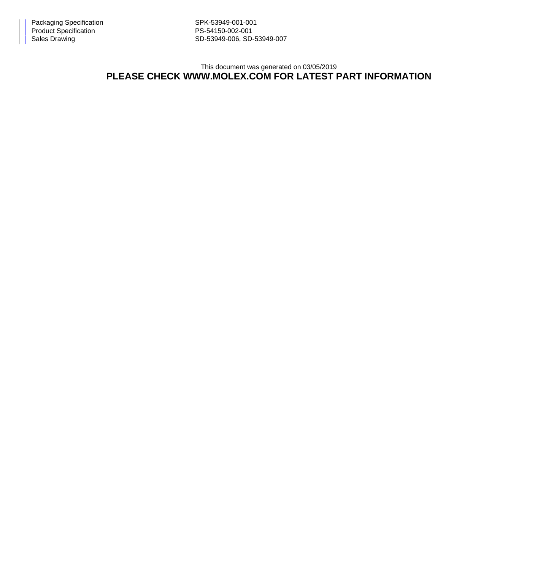Sales Drawing Sales Drawing SD-53949-006, SD-53949-007

This document was generated on 03/05/2019

## **PLEASE CHECK WWW.MOLEX.COM FOR LATEST PART INFORMATION**